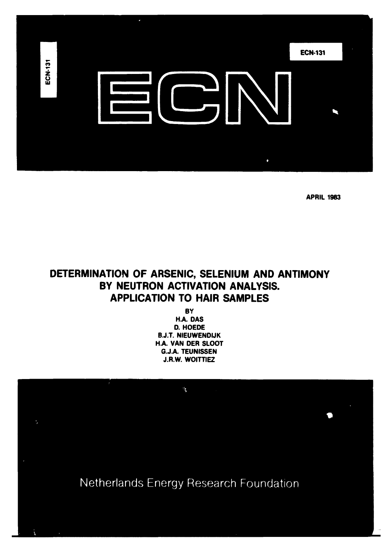

**APRIL 1983** 

# **DETERMINATION OF ARSENIC, SELENIUM AND ANTIMONY BY NEUTRON ACTIVATION ANALYSIS. APPLICATION TO HAIR SAMPLES**

**BY H.A. DAS D. HOEDE B.J.T. NIEUWENDIJK H.A. VAN DER SLOOT G.J.A. TEUNISSEN J.R.W. WOITTIE2** 

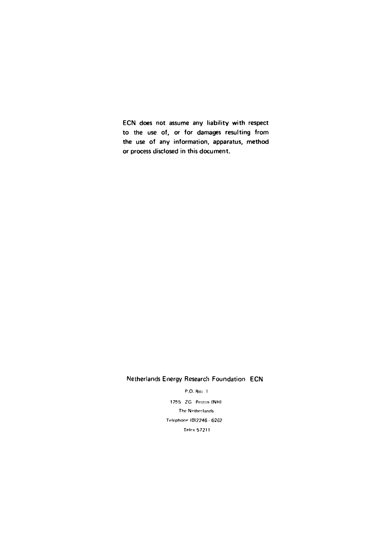ECN does not assume any liability with respect to the use of, or for damages resulting from the use of any information, apparatus, method or process disclosed in this document.

# Netherlands Energy Research Foundation ECN

P.O. Bo> 1

1755 ZG Potion (NH) The Netherlands Telephone (0)2246 - 6262 Telex 57211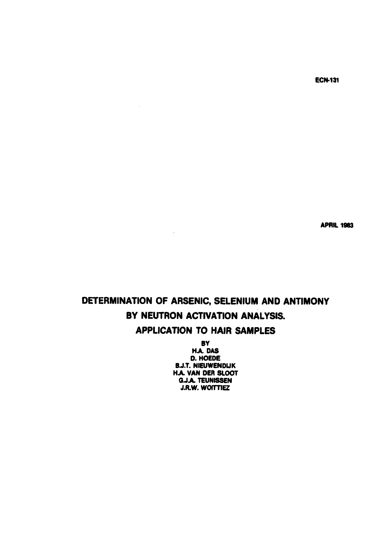**ECN-131** 

**APRIL 1983** 

# **DETERMINATION OF ARSENIC, SELENIUM AND ANTIMONY BY NEUTRON ACTIVATION ANALYSIS. APPLICATION TO HAIR SAMPLES**

 $\sim$   $\sim$ 

 $\mathcal{L}_{\mathcal{A}}$ 

**BY HA DAS D. HOEDE 6J.T. NlEUWENDlJK H.A. VAN DER SLOOT G.J.A. TEUNISSEN J.R.W. WOITTIEZ**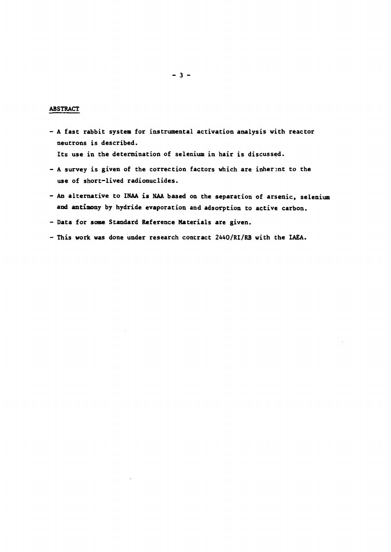#### **ABSTRACT**

**- A fast rabbit system for instrumental activation analysis with reactor neutrons is described.** 

**Its use in the determination of selenium in hair is discussed.** 

- A survey is given of the correction factors which are inherent to the **use of short-lived radionuclides.**
- **An alternative to INAA is NAA based on the separation of arsenic, selenium and antimony by hydride evaporation and adsorption to active carbon.**
- **Data for some Standard Reference Materials are given.**
- **This work was done under research contract 2440/RI/RB with the IAEA.**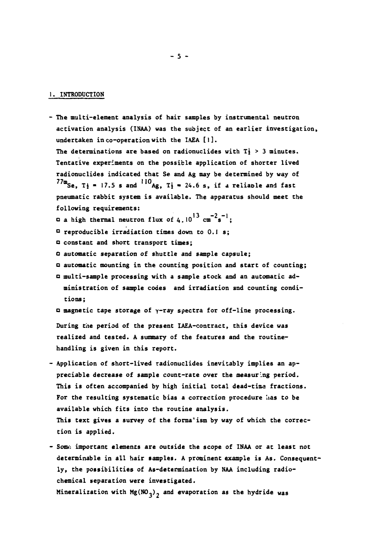#### **1. INTRODUCTION**

- **The multi-element analysis of hair samples by instrumental neutron activation analysis (INAA) was the subject of an earlier investigation, undertaken in co-operation with the IAEA [ 1 ]. The determinations are based on radionuclides with Tj > 3 minutes. Tentative experiments on the possible application of shorter lived radionuclides indicated that Se and Ag may be determined by way of**   $77m$ Se,  $T_2 = 17.5$  s and  $^{110}$ Ag,  $T_2 = 24.6$  s, if a reliable and fast **pneumatic rabbit system is available. The apparatus should meet the following requirements: 13** a high thermal neutron flux of 4.10<sup>13</sup>  $cm^{-2}s^{-1}$ ; **° reproducible irradiation times down to 0.1 s;**  *a* **constant and short transport times;** 
	- **automatic separation of shuttle and sample capsule;**
	- **automatic mounting in the counting position and start of counting;**
	- **a multi-sample processing with a sample stock and an automatic administration of sample codes and irradiation and counting conditions;**
	- **magnetic tape storage of y-ray spectra for off-line processing.**

**During the period of the present IAEA-contract, this device was realized and tested. A summary of the features and the routinehandling is given in this report.** 

- **Application of short-lived radionuclides inevitably implies an appreciable decrease of sample count-rate over the measuring period. This is often accompanied by high initial total dead-tima fractions.**  For the resulting systematic bias a correction procedure has to be **available which fits into the routine analysis. This text gives a survey of the forma<sup>1</sup>ism by way of which the correction is applied.**
- Some important elements are outside the scope of INAA or at least not **determinable in all hair samples. A prominent example is As. Consequently, the possibilities of As-determination by NAA including radiochemical separation were investigated. Mineralization with Mg(NO.). and evaporation as the hydride was**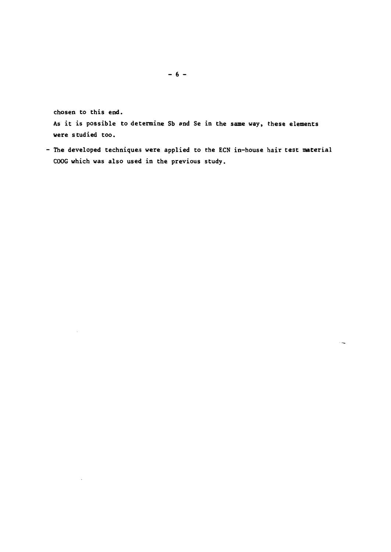**chosen to this end.** 

**As it is possible to determine Sb and Se in the same way, these elements were studied too.** 

**- The developed techniques were applied to the ECN in-house hair test material COOG which was also used in the previous study.**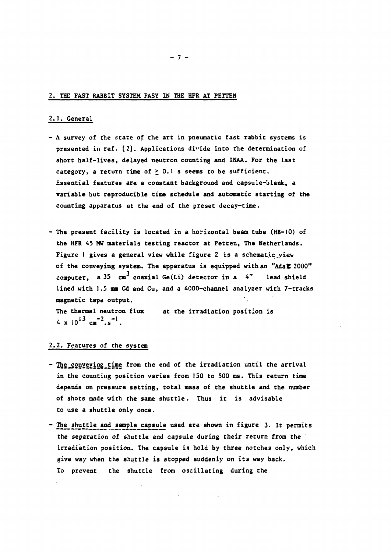#### **2. THE FAST RABBIT SYSTEM FASY IN THE HFR AT PETTEN**

# **2.1. General**

- **A survey of the state of the art in pneumatic fast rabbit systems is presented in ref. [2]. Applications divide into the determination of short half-lives, delayed neutron counting and INAA. For the last category, a return time of > 0.1 s seems to be sufficient. Essential features are a constant background and capsule-blank, a variable but reproducible time schedule and automatic starting of the counting apparatus at the end of the preset decay-time.**
- **The present facility is located in a horizontal beam tube (HB-10) of the HFR 45 MW materials testing reactor at Petten, The Netherlands.**  Figure 1 gives a general view while figure 2 is a schematic view **of the conveying system. The apparatus is equipped with an "Ada 2000"**  computer, a 35 cm<sup>3</sup> coaxial Ge(Li) detector in a 4" lead shield **lined with 1.5 mm Cd and Cu, and a 4000-channel analyzer with 7-tracks magnetic tape output. The thermal neutron flux at the irradiation position is**   $4 \times 10^{13} \text{ cm}^{-2} \text{ s}^{-1}$ .

#### **2.2. Features of the system**

- $-$  The conveying time from the end of the irradiation until the arrival **in the counting position varies from 150 to 500 ms. This return time depends on pressure setting, total mass of the shuttle and the number of shots made with the same shuttle. Thus it is advisable to use a shuttle only once.**
- **The shuttle and sample capsule used are shown in figure 3. It permits the separation of shuttle and capsule during their return from the irradiation position. The capsule is hold by three notches only, which give** *way* **when the shuttle is stopped suddenly on its way back. To prevent the shuttle from oscillating during the**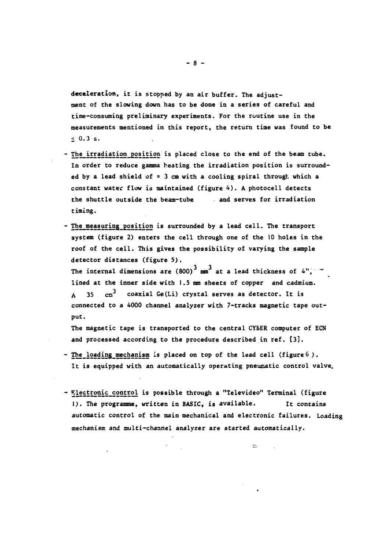**deceleration, it is stopped by an air buffer. The adjustment of the slowing down has to be done in a series of careful and time-consuming preliminary experiments. For the routine use in the measurements mentioned in this report, the return time was found to be < 0.3 s.** 

- **The irradiation position is placed close to the end of the beam tube. In order to reduce gamma heating the irradiation position is surrounded by a lead shield of = 3 cm with a cooling spiral through which a constant water flow is maintained (figure 4). A photocell detects the shuttle outside the beam-tube and serves for irradiation timing.**
- **The measuring position is surrounded by a lead cell. The transport system (figure 2) enters the cell through one of the 10 holes in the roof of the cell. This gives the possibility of varying the sample detector distances (figure 5).**

The internal dimensions are  $(800)^3$  mm<sup>3</sup> at a lead thickness of 4",  $\tau$ **lined at the inner side with 1.5 mm sheets of copper and cadmium.**  A 35 cm<sup>3</sup> coaxial Ge(Li) crystal serves as detector. It is **connected to a 4000 channel analyzer with 7-tracks magnetic tape output.** 

**The magnetic tape is transported to the central CYbER computer of ECN and processed according to the procedure described in ref. [3].** 

- **The\_loading\_mechanism is placed on top of the lead cell (figure б ) . It is equipped with an automatically operating pneumatic control valve.**
- $-$  **Electronic control is possible through a "Televideo" Terminal (figure 1). The programme, written in BASIC, is available. It contains automatic control of the main mechanical and electronic failures. Loading mechanism and multi-channel analyzer are started automatically.**

 $\approx$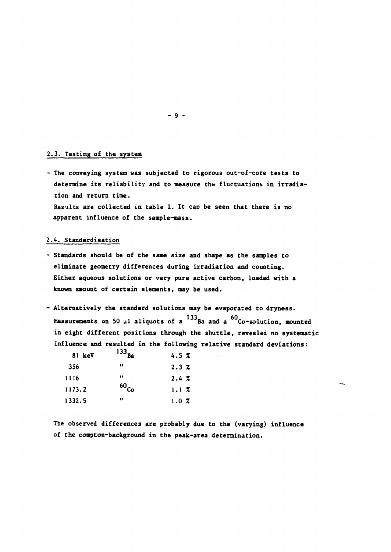### **2.3. Testing of the system**

**- The conveying system was subjected to rigorous out-of-core tests to determine its reliability and to measure the fluctuations in irradiation and return time. Results are collected in table 1. It can be seen that there is no apparent influence of the sample-mass.** 

### **2.4. Standardisation**

- **Standards should be of the same size and shape as the samples to eliminate geometry differences during irradiation and counting. Either aqueous solutions or very pure active carbon, loaded with a known amount of certain elements, may be used.**
- **Alternatively the standard solutions may be evaporated to dryness.**  Measurements on 50 µl aliquots of a <sup>133</sup>Ba and a <sup>60</sup>Co-solution, mounted **in eight different positions through the shuttle, revealed no systematic influence and resulted in the following relative standard deviations:**

| 81 keV | $-$ - Ba  | 4.5Z |
|--------|-----------|------|
| 356    | 11        | 2.3Z |
| 1116   | 11        | 2.4Z |
| 1173.2 | $60_{Co}$ | 1.1Z |
| 1332.5 | 11        | 1.0Z |

**The observed differences are probably due to the (varying) influence of the compton-background in the peak-area determination.** 

**- 9 -**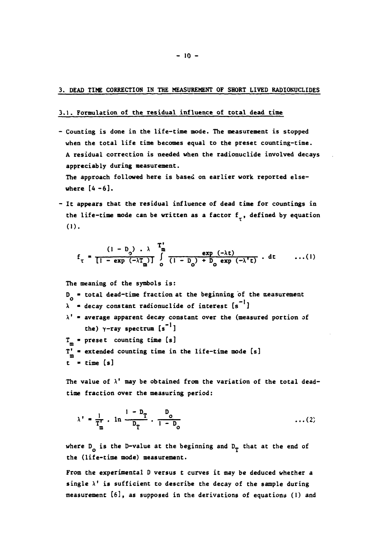#### **3. DEAD TIME CORRECTION IN THE MEASUREMENT OF SHORT LIVED RADIONUCLIDES**

#### **3.1. Formulation of the residual influence of total dead time**

**- Counting is done in the life-time mode. The measurement is stopped when the total life time becomes equal to the preset counting-time. A residual correction is needed when the radionuclide involved decays appreciably during measurement.** 

**The approach followed here is based on earlier work reported elsewhere [4 -6] .** 

**It appears that the residual influence of dead time for countings in**  the life-time mode can be written as a factor f<sub>r</sub>, defined by equation **(1)** 

$$
f_{\tau} = \frac{(1 - D_0) \cdot \lambda}{\left[1 - \exp\left(-\lambda T_{\text{m}}\right)\right]} \int_{0}^{T_{\text{m}}} \frac{\exp\left(-\lambda t\right)}{\left(1 - D_0\right) + D_0 \exp\left(-\lambda^{\intercal} t\right)} \cdot dt \qquad \dots(1)
$$

**The meaning of the symbols is: D \* total dead-time fraction at the beginning of the measurement**   $\lambda$  = decay constant radionuclide of interest  $[s^{-1}]$ **X' \* average apparent decay constant over the (measured portion of**  the)  $\gamma$ -ray spectrum  $[s^{-1}]$ T<sub>m</sub> = preset counting time [s] **T'** *\** **extended counting time in the life-time mode [s] m t \* time [s]** 

**The value of X' may be obtained from the variation of the total deadtime fraction over the measuring period:** 

$$
\lambda' = \frac{1}{T_{m}^{t}} \cdot \ln \frac{1 - D_{T}}{D_{T}} \cdot \frac{D_{o}}{1 - D_{o}} \qquad \qquad \dots (2)
$$

where  $D_{\alpha}$  is the D-value at the beginning and  $D_{\gamma}$  that at the end of **the (life-time mode) measurement.** 

**From the experimental D versus t curves it may be deduced whether a single X' is sufficient to describe the decay of the sample during measurement [6], as supposed in the derivations of equations (1) and**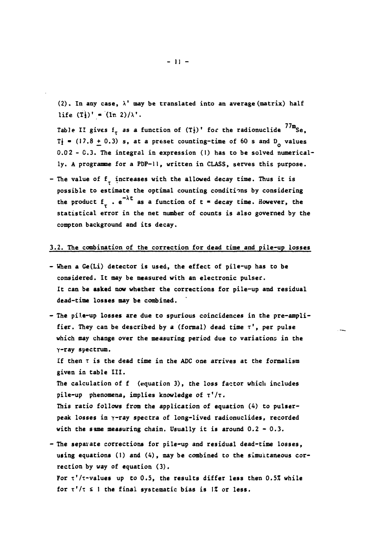**(2). In any case,** *\'* **may be translated into an average (matrix) half**  life  $(T_2^l)'$  =  $(\ln 2)/\lambda'$ .

Table II gives  $f_{\tau}$  as a function of  $(T_{2}^{i})'$  for the radionuclide  $^{77m}$ Se,  $T_f$  = (17.8 + 0.3) s, at a preset counting-time of 60 s and D<sub>2</sub> values **0.0 2 - C.3. The integral in expression (1) has to be solved numerically. A programme for a PDP-11, written in CLASS, serves this purpose.** 

- The value of f<sub>r</sub> increases with the allowed decay time. Thus it is **possible to estimate the optimal counting conditions by considering**  the product  $f_{+}$ .  $e^{-\lambda t}$  as a function of  $t =$  decay time. However, the **statistical error in the net number of counts is also governed by the compton background and its decay.** 

## **3.2. The combination of the correction for dead time and pile-up losses**

- **When a Ge(Li) detector is used, the effect of pile-up has to be considered. It may be measured with an electronic pulser. It can be asked now whether the corrections for pile-up and residual dead-time losses may be combined.**
- **The pile-up losses are due to spurious coincidences in the pre-amplifier. They can be described by a (formal) dead time т', per pulse which may change over the measuring period due to variations in the Y-ray spectrum. If then T is the dead time in the ADC one arrives at the formalism given in table III. The calculation of f (equation 3), the loss factor which includes pile-up phenomena, implies knowledge of т'/т. This ratio follows from the application of equation (A) to pulser**peak losses in y-ray spectra of long-lived radionuclides, recorded **with the same measuring chain. Usually it is around 0.2 - 0.3.**
- **The separate corrections for pile-up and residual dead-time losses, using equations (1) and (4), may be combined to the simultaneous correction by way of equation (3). For т'/т-values up to 0.5, the results differ less then 0.5% while**  for  $\tau'/\tau$   $\leq$  1 the final systematic bias is  $\frac{1}{2}$  or less.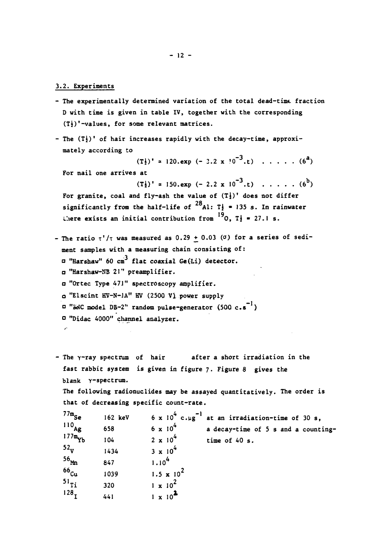## **3.2. Experiments**

- **The experimentally determined variation of the total dead-time fraction D with time is given in table IV, together with the corresponding (Ti)'-values, for some relevant matrices.**
- **The (Tj)' of hair increases rapidly with the decay-time, approximately according to**

 $(T_{\frac{1}{2}})^{\dagger}$  \* 120.exp (- 3.2 x  $(0^{-3}, t)$  . . . . . .  $(6^{a})$ 

**For nail one arrives at** 

 $(T_1^1)'$  = 150.exp  $(-2.2 \times 10^{-3} \text{ ft})$   $\ldots \ldots (6^b)$ 

For granite, coal and fly-ash the value of  $(T<sub>2</sub>)'$  does not differ significantly from the half-life of  $^{28}$ Al: T<sub>2</sub> = 135 s. In rainwater **19** Liere exists an initial contribution from  $^{19}$ 0, T<sub>2</sub> = 27.1 s.

- The ratio  $\tau'/\tau$  was measured as  $0.29 + 0.03$  ( $\sigma$ ) for a series of sedi**ment samples with a measuring chain consisting of: .3 a "Harshaw" 60 cm flat coaxial Ge(Li) detector. "Harshaw-NB** *ZV'* **preamplifier.**  *a* **"Ortec Type 47J" spectroscopy amplifier. "Elscint KV-N-JA" HV (2500 VI power supply**   *"ЪйС* **model DB-2" random pulse-generator (500 c.s )**  *o* **"Didac 4000" channel analyzer.**
- **The γ-ray spectrum of hair after a short irradiation in the fast rabbit system is given in figure 7. Figure 8 gives the blank Y-spectrum. The following radionuclides may be assayed quantitatively. The order is that of decreasing specific count-rate. 6** x 10<sup>**<sup>** $10$ **</sup> c.**µg<sup> $-1$ </sup> at an irradiation-time of 30 s,</sup>  $77m_{s_{\alpha}}$ **162 keV**

| $^{110}$ Ag       | 658  | $6 \times 10^{4}$            | a decay-time of 5 s and a counting- |
|-------------------|------|------------------------------|-------------------------------------|
| $177m_{\rm vir}$  | 104  | $2 \times 10^{4}$            | time of 40 s.                       |
| $52_{\mathrm{v}}$ | 1434 | $3 \times 10^{4}$            |                                     |
| 56 <sub>Mn</sub>  | 847  | 1.10 <sup>4</sup>            |                                     |
| <sup>66</sup> cu  | 1039 | 1.5 $\times$ 10 <sup>2</sup> |                                     |
| $^{51}$           | 320  | $1 \times 10^{2}$            |                                     |
| 128,              | 441  |                              |                                     |
|                   |      |                              |                                     |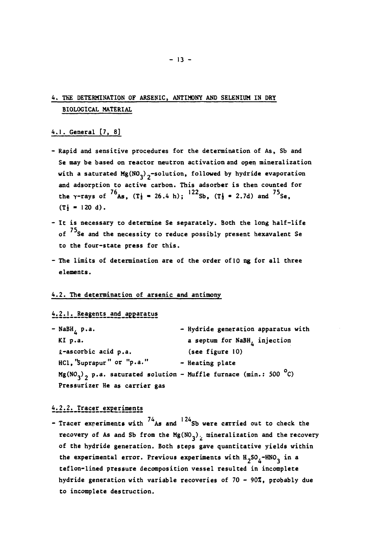# **4. THE DETERMINATION OF ARSENIC, ANTIMONY AND SELENIUM IN DRY BIOLOGICAL MATERIAL**

# **4.1. General [7, 8]**

- **Rapid and sensitive procedures for the determination of As, Sb and Se may be based on reactor neutron activation and open mineralization**  with a saturated Mg(NO<sub>3</sub>)<sub>2</sub>-solution, followed by hydride evaporation **and adsorption to active carbon. This adsorber is then counted for**  the  $\gamma$ -rays of  $\gamma$ <sup>o</sup>As,  $(T_1 = 26.4 \text{ h})$ ;  $\gamma$ <sup>12</sup>Sb,  $(T_2 = 2.7d)$  and  $\gamma$ <sup>3</sup>Se,  $(T_2^1 = 120 d)$ .
- **It is necessary to determine Se separately. Both the long half-life of Se and the necessity to reduce possibly present hexavalent Se to the four-state press for this.**
- **The limits of determination are of the order of 10 ng for all three elements.**

## **4.2. The determination of arsenic and antimony**

# **4i2iJ^\_Reagents\_and\_a££aratus**

| - NaBH <sub>4</sub> p.a.                                             | - Hydride generation apparatus with      |
|----------------------------------------------------------------------|------------------------------------------|
| $KI$ p.a.                                                            | a septum for NaBH <sub>L</sub> injection |
| £-ascorbic acid p.a.                                                 | (see figure 10)                          |
| HCl, 'Suprapur" or "p.a."                                            | - Heating plate                          |
| $Mg(NO_3)$ , p.a. saturated solution - Muffle furnace (min.: 500 °C) |                                          |
| Pressurizer He as carrier gas                                        |                                          |

# **412i2i\_Tracer\_ex£eriments**

- Tracer experiments with <sup>74</sup>As and <sup>124</sup>Sb were carried out to check the recovery of As and Sb from the  $Mg(NO<sub>3</sub>)$ , mineralization and the recovery of the hydride generation. Both steps gave quantitative yields within the experimental error. Previous experiments with  $H_2SO_4$ <sup>-HNO</sup>3 in a teflon-lined pressure decomposition vessel resulted in incomplete hydride generation with variable recoveries of 70 - 90%, probably due to incomplete destruction.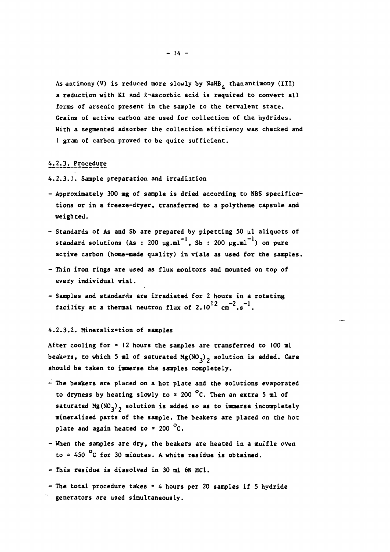**As antimony (V) is reduced more slowly by NaHB, thanantimony (III)**  a reduction with KI and *L*-ascorbic acid is required to convert all **forms of arsenic present in the sample to the tervalent state. Grains of active carbon are used for collection of the hydrides. With a segmented adsorber the collection efficiency was checked and 1 gram of carbon proved to be quite sufficient.** 

# **4^2.31\_Procedure**

**4.2.3.1. Sample preparation and irradiation** 

- **Approximately 300 mg of sample is dried according to NBS specifications or in a freeze-dryer, transferred to a polythene capsule and weighted.**
- **Standards of As and Sb are prepared by pipetting 50 ul aliquots of**  standard solutions (As : 200  $\mu$ g.ml<sup>-1</sup>, Sb : 200  $\mu$ g.ml<sup>-1</sup>) on pure **active carbon (home-made quality) in vials as used for the samples.**
- **Thin iron rings are used as flux monitors and mounted on top of every individual vial.**
- **Samples and standards are irradiated for 2 hours in a rotating**  facility at a thermal neutron flux of  $2.10^{12}$   $\text{cm}^{-2}.s^{-1}$ .

#### **4.2.3.2. Mineralization of samples**

**After cooling for = 12 hours the samples are transferred to 100 ml**  beakers, to which 5 ml of saturated Mg(NO<sub>2</sub>)<sub>2</sub> solution is added. Care **should be taken to immerse the samples completely.** 

- **The beakers are placed on a hot plate and the solutions evaporated to dryness by heating slowly to <sup>s</sup> 200 °C. Then an extra 5 ml of**  saturated Mg( $NO<sub>2</sub>$ )<sub>2</sub> solution is added so as to immerse incompletely **mineralized parts of the sample. The beakers are placed on the hot plate and again heated to \* 200 C.**
- **When the samples are dry, the beakers are heated in a mulfle oven to = 450 С for 30 minutes. A white residue is obtained.**
- **This residue is dissolved in 30 ml 6N HC1.**
- **The total procedure takes = 4 hours per 20 samples if 5 hydride generators are used simultaneously.**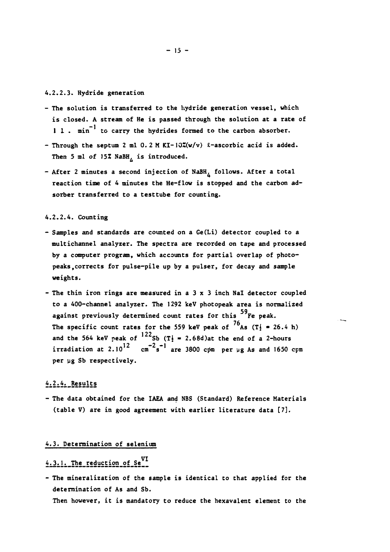## **4.2.2.3. Hydride generation**

- **The solution is transferred to the hydride generation vessel, which is closed. A stream of He is passed through the solution at a rate of I l . min to carry the hydrides formed to the carbon absorber.**
- **Through the septum 2 ml 0.2 M KI-I0Z(w/v) i-ascorbic acid is added.**  Then 5 ml of 15% NaBH<sub>*i*</sub> is introduced.
- **After 2 minutes a second injection of NaBH, follows. After a total reaction time of 4 minutes the He-flow is stopped and the carbon adsorber transferred to a testtube for counting.**

#### **4.2.2.4. Counting**

- **Samples and standards are counted on a Ge(Li) detector coupled to a multichannel analyzer. The spectra are recorded on tape and processed by a computer program, which accounts for partial overlap of photopeaks, corrects for pulse-pile up by a pulser, for decay and sample weights.**
- **The thin iron rings are measured in a 3 x 3 inch Nal detector coupled to a 400-channel analyzer. The 1292 keV photopeak area is normalized 59 against previously determined count rates for this Fe peak.**  The specific count rates for the 559 keV peak of  $^{76}$ As (T<sup>j</sup> = 26.4 h) and the 564 keV peak of  $122$ Sb ( $T_2 = 2.68d$ )at the end of a 2-hours **1i**rradiation at 2.10<sup>12</sup>  $\text{cm}^{-2}\text{s}^{-1}$  are 3800 cpm per µg As and 1650 cpm **per ug Sb respectively.**

# $4.2.4.$  Results

**- The data obtained for the IAEA and NBS (Standard) Reference Materials (table V) are in good agreement with earlier literature data [7].** 

#### **4.3. Determination of selenium**

# **VI 4i3ijpi\_The\_reduction-of\_Se**

**- The mineralization of the sample is identical to that applied for the determination of As and Sb.** 

**Then however, it is mandatory to reduce the hexavalent element to the**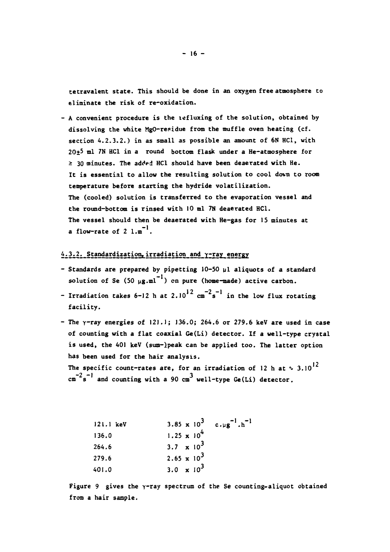**tetravalent state. This should be done in an oxygen free atmosphere to eliminate the risk of re-oxidation.** 

**- A convenient procedure is the lefluxing of the solution, obtained by dissolving the white MgO-residue from the muffle oven heating (cf. section 4.2.3.2.) in as small as possible an amount of 6N HC1, with 20+5 ml 7N HC1 in a round bottom flask under a He-atmosphere for > 30 minutes. The added HCl should have been deaerated with He. It is essential to allow the resulting solution to cool dovn to room temperature before starting the hydride volatilization. The (cooled) solution is transferred to the evaporation vessel and the round-bottom is rinsed with 10 ml 7N deaerated HCl. The vessel should then be deaerated with He-gas for IS minutes at a** flow-rate of  $2 \text{ l.m}^{-1}$ .

# **4.3.2. Standardization»irradiation and y-ray energy**

- **Standards are prepared by pipetting 10-50 ul aliquots of a standard**  solution of Se (50 ug.ml<sup>-1</sup>) on pure (home-made) active carbon.
- $12 -2 -1$ **- Irradiation takes 6-12 h at 2.10 cm s in the low flux rotating facility.**
- **The y-ray energies of 121.1; 136.0; 264.6 or 279.6 keV are used in case of counting with a flat coaxial Ge(Li) detector. If a well-type crystal is used, the 401 keV (sum-lpeak can be applied too. The latter option has been used for the hair analysis.**

The specific count-rates are, for an irradiation of 12 h at  $\sim 3.10^{12}$  $-2$   $-1$  and counting with a 00  $-3$ . **cm s and counting with a 90 cm well-type Ge(Li) detector.** 

| $121.1$ keV | 3.85 x $10^3$ c.ug <sup>-1</sup> .h <sup>-1</sup> |  |
|-------------|---------------------------------------------------|--|
| 136.0       | $1.25 \times 10^{4}$                              |  |
| 264.6       | 3.7 $\times$ 10 <sup>3</sup>                      |  |
| 279.6       | 2.65 x $10^3$                                     |  |
| 401.0       | 3.0 $\times 10^3$                                 |  |

**Figure 9 gives the y-ray spectrum of the Se counting-aliquot obtained from a hair sample.**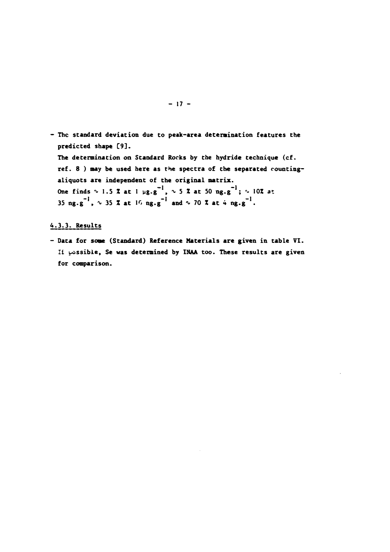**- The standard deviation due to peak-area determination features the predicted shape [9]. The determination on Standard Rocks by the hydride technique (cf. ref. 8 ) may be used here as the spectra of the separated countingaliquots are independent of the original matrix. One finds ^ 1.5 Z at 1 wg.g" , ^ 5 Z at 50 ng.g" ;** *ь* **10Z at 35 ng.g<sup>-1</sup>,**  $\sim$  35  $\bar{x}$  at 16 ng.g<sup>-1</sup> and  $\sim$  70  $\bar{x}$  at 4 ng.g<sup>-1</sup>.

# **4.3.3. Results**

**- Data for some (Standard) Reference Materials are given in table VI. 11 possible, Se was determined by 1NAA too. These results are given for comparison.**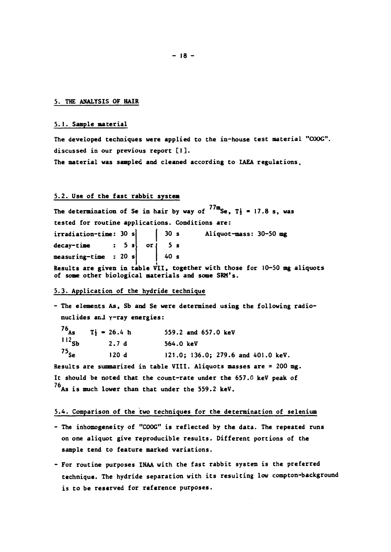#### **5. THE ANALYSIS OF HAIR**

#### **5.1. Sample material**

**The developed techniques were applied to the in-house test material "COOG". discussed in our previous report [I]. The material was sampled and cleaned according to IAEA regulations.** 

# **5.2. Use of the fast rabbit system**

The determination of Se in hair by way of  $^{77m}$ Se,  $T_1$  = 17.8 s, was **tested for routine applications. Conditions are: irradiation-time: 30 s decay-time : 5 s measuring-time : 20 s 30 s Aliquot-mass: 30-50 mg or** *I* **5 s 40 s Results are given in table VII, together with those for 10-50 mg aliquots of some other biological materials and some SRM's.** 

#### **5.3. Application of the hydride technique**

**- The elements As, Sb and Se were determined using the following radionuclides ar.J y-ray energies:**   $76$ <sup>As</sup> T<sub>1</sub> = 26.4 h 559.2 and 657.0 keV<br>112<sub>ch</sub>  $27A$  564.0 keV **1,2Sb 2.7 d 564.0 keV <sup>75</sup>Se 120 d 121.0; 136.0; 279.6 and 401.0 keV. Results are summarized in table VIII. Aliquots masses are = 200 mg.**  It should be noted that the count-rate under the 657.0 keV peak of **As is much lower than that under the 559.2 keV.** 

#### **5.4. Comparison of the two techniques for the determination of selenium**

- **The inhomogeneity of "COOG" is reflected by the data. The repeated runs on one aliquot give reproducible results. Different portions of the sample tend to feature marked variations.**
- **For routine purposes INAA with the fast rabbit system is the preferred technique. The hydride separation with its resulting low compton-background is to be reserved for reference purposes.**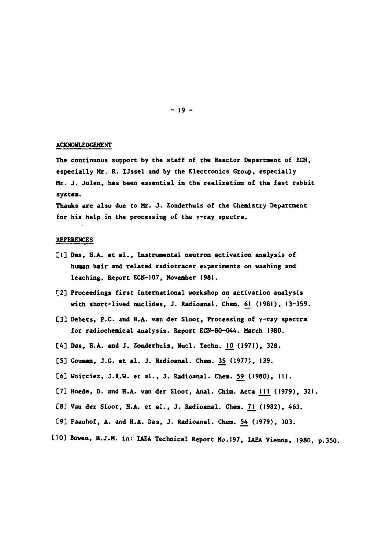#### **ACKNOWLEDGEMENT**

**The continuous support by the staff of the Reactor Department of ECN, especially Mr. R. IJssel and by the Electronics Group, especially Mr. J. Jolen, has been essential in the realization of the fast rabbit system.** 

**Thanks are also due to Mr. J. Zonderhuis of the Chemistry Department**  for his help in the processing of the  $\gamma$ -ray spectra.

#### **REFERENCES**

- **[1] Das, H.A. et al., Instrumental neutron activation analysis of human hair and related radiotracer experiments on washing and leaching. Report ECN-107, November 1981.**
- **C2] Proceedings first international workshop on activation analysis**  with short-lived nuclides, J. Radioanal. Chem. 61 (1981), 13-359.
- **[3] Debets, P. and H.A. van der Sloot, Processing of y-ray spectra for radiochemical analysis. Report ECN-80-044. March 1980.**
- [4] Das, H.A. and J. Zonderhuis, Nucl. Techn. 10 (1971), 328.
- **[5] Gouman, J.G. et al. J. Radioanal. Chem. 35\_ (1977), 139.**
- **С6] Woittiez, J.R.W. et al., J. Radioanal. Chem. 59. (1980), 111.**
- [7] Hoede, D. and H.A. van der Sloot, Anal. Chim. Acta 111 (1979), 321.
- **[8] Van der Sloot, H.A. et al., J. Radioanal. Chem.** *7]\_* **(1982), 463.**
- **[9] Faanhof, A. and H.A. Das, J. Radioanal. Chem. 54 (1979), 303.**
- **[10] Boven, H.J.M, in: IAEA Technical Report No.197, IAEA Vienna, 1980, p.350.**

**- 19 -**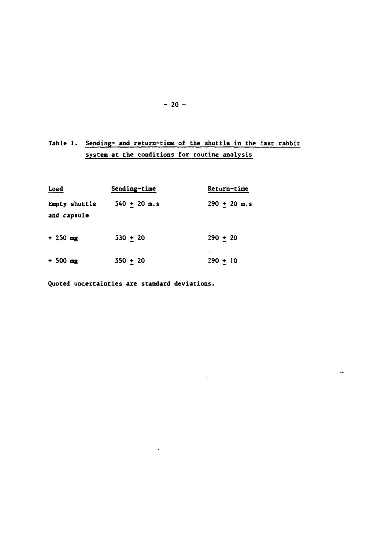# **Table I. Sending- and return-time of the shuttle in the fast rabbit system at the conditions for routine analysis**

 $\sim 10^{-10}$ 

| Load                         | Sending-time   | Return-time       |
|------------------------------|----------------|-------------------|
| Empty shuttle<br>and capsule | $540 + 20$ m.s | $290 \div 20$ m.s |
| $+250$ mg                    | $530 + 20$     | $290 + 20$        |
| $+500$ mg                    | $550 + 20$     | $290 + 10$        |

 $\sim$   $\sim$ 

**Quoted uncertainties are standard deviations.** 

 $\sim$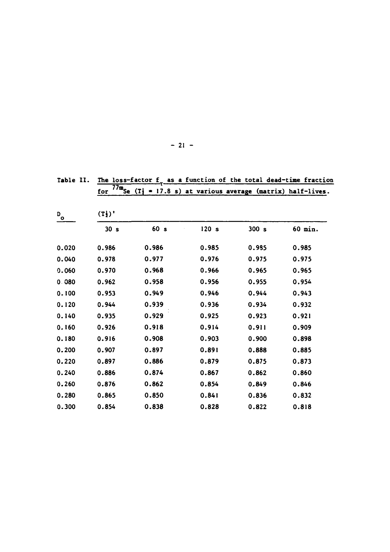|                           | $\overline{77m}_{\text{Se}}$<br>for | (T)   | wucczow or | rue cocas acea | 17.8 s) at various average (matrix) half-lives. |
|---------------------------|-------------------------------------|-------|------------|----------------|-------------------------------------------------|
| $\mathbf{D}_{\mathbf{O}}$ | $(T_2^{\prime})$                    |       |            |                |                                                 |
|                           | 30s                                 | 60s   | 120 s      | 300s           | 60 min.                                         |
| 0.020                     | 0.986                               | 0.986 | 0.985      | 0.985          | 0.985                                           |
| 0.040                     | 0.978                               | 0.977 | 0.976      | 0.975          | 0.975                                           |
| 0.060                     | 0.970                               | 0.968 | 0.966      | 0.965          | 0.965                                           |
| 0.080                     | 0.962                               | 0.958 | 0.956      | 0.955          | 0.954                                           |
| 0.100                     | 0.953                               | 0.949 | 0.946      | 0.944          | 0.943                                           |
| 0.120                     | 0.944                               | 0.939 | 0.936      | 0.934          | 0.932                                           |
| 0.140                     | 0.935                               | 0.929 | 0.925      | 0.923          | 0.921                                           |
| 0.160                     | 0.926                               | 0.918 | 0.914      | 0.911          | 0.909                                           |
| 0.180                     | 0.916                               | 0.908 | 0.903      | 0.900          | 0.898                                           |
| 0.200                     | 0.907                               | 0.897 | 0.891      | 0.888          | 0.885                                           |
| 0.220                     | 0.897                               | 0.886 | 0.879      | 0.875          | 0.873                                           |
| 0.240                     | 0.886                               | 0.874 | 0.867      | 0.862          | 0.860                                           |
| 0.260                     | 0.876                               | 0.862 | 0.854      | 0.849          | 0.846                                           |
| 0.280                     | 0.865                               | 0.850 | 0.841      | 0.836          | 0.832                                           |
| 0.300                     | 0.854                               | 0.838 | 0.828      | 0.822          | 0.818                                           |

Table II. The loss-factor f<sub>-</sub> as a function of the total dead-time fraction

# **- 21 -**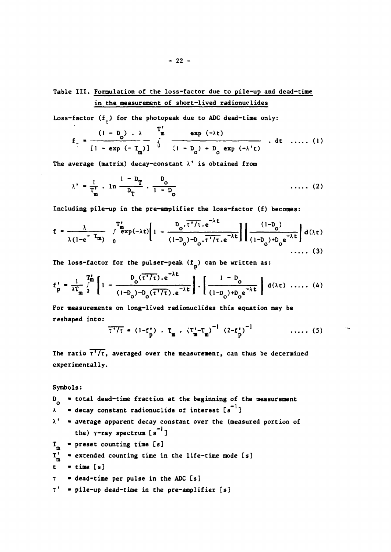Table III. Formulation of the loss-factor due to pile-up and dead-time in the measurement of short-lived radionuclides

Loss-factor  $(f<sub>+</sub>)$  for the photopeak due to ADC dead-time only:

$$
f_{\tau} = \frac{(1 - D_0) \cdot \lambda}{[1 - \exp(-T_m)]} \int_{0}^{T_m} \frac{\exp(-\lambda t)}{(1 - D_0) + D_0 \exp(-\lambda' t)} dt \quad \dots \quad (1)
$$

The average (matrix) decay-constant  $\lambda'$  is obtained from

$$
\lambda' = \frac{1}{T_{m}^{1}} \cdot \ln \frac{1 - D_{T}}{D_{T}} \cdot \frac{D_{o}}{1 - D_{o}}
$$
 (2)

 $\mathbf{v}$ 

Including pile-up in the pre-amplifier the loss-factor (f) becomes:

$$
f = \frac{\lambda}{\lambda (1 - e^{-T_m})} \int_{0}^{T_m^*} exp(-\lambda t) \left[ 1 - \frac{D_o \cdot \overline{\tau' / \tau} \cdot e^{-\lambda t}}{(1 - D_o) - D_o \cdot \overline{\tau' / \tau} \cdot e^{-\lambda t}} \right] \left[ \frac{(1 - D_o)}{(1 - D_o) + D_o e^{-\lambda t}} \right] d(\lambda t)
$$

The loss-factor for the pulser-peak  $(f_n)$  can be written as:

$$
f_p' = \frac{1}{\lambda T_m} \int_0^{T_m} \left[ 1 - \frac{D_o(\tau')\tau}{(1 - D_o) - D_o(\tau')\tau}.e^{-\lambda t} \right] \cdot \left[ \frac{1 - D_o}{(1 - D_o) + D_o e^{-\lambda t}} \right] d(\lambda t) \dots (4)
$$

For measurements on long-lived radionuclides this equation may be reshaped into:

$$
\overline{t^{+}/\tau} = (1 - f_{p}^{*}) \cdot T_{m} \cdot (\overline{T}_{m}^{*} - T_{m})^{-1} (2 - f_{p}^{*})^{-1} \qquad \qquad \ldots \qquad (5)
$$

The ratio  $\overline{\tau'/\tau}$ , averaged over the measurement, can thus be determined experimentally.

Symbols:

 $D_0$  = total dead-time fraction at the beginning of the measurement  $\bullet$  decay constant radionuclide of interest [s<sup>-1</sup>]  $\lambda$  $\lambda'$  = average apparent decay constant over the (measured portion of the)  $\gamma$ -ray spectrum [s<sup>-1</sup>] = preset counting time [s]  $T_{\sf m}$  $T_m'$  = extended counting time in the life-time mode [s]  $t = time [s]$ t = dead-time per pulse in the ADC [s] T' = pile-up dead-time in the pre-amplifier [s]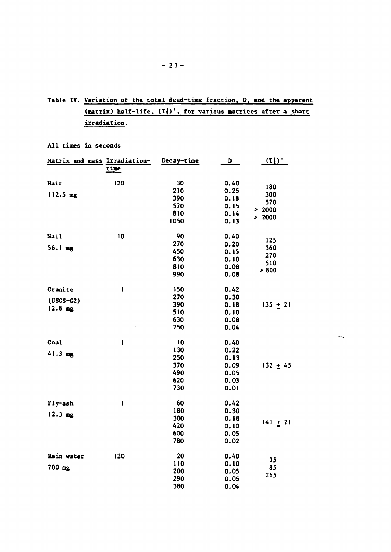Table IV. Variation of the total dead-time fraction, D, and the apparent  $(\texttt{matrix})$  half-life,  $(T_1^1)$ ', for various matrices after a short irradiation.

|             | Matrix and mass Irradiation-                                                                                                                                                                                                                                                                                                                                                     | Decay-time | D    | $(\mathbf{T}_2)$ ' |
|-------------|----------------------------------------------------------------------------------------------------------------------------------------------------------------------------------------------------------------------------------------------------------------------------------------------------------------------------------------------------------------------------------|------------|------|--------------------|
|             | time                                                                                                                                                                                                                                                                                                                                                                             |            |      |                    |
| Hair        | 120                                                                                                                                                                                                                                                                                                                                                                              | 30         | 0.40 |                    |
|             |                                                                                                                                                                                                                                                                                                                                                                                  | 210        | 0.25 | 180                |
| 112.5 mg    |                                                                                                                                                                                                                                                                                                                                                                                  | 390        | 0.18 | 300                |
|             |                                                                                                                                                                                                                                                                                                                                                                                  | 570        | 0.15 | 570                |
|             |                                                                                                                                                                                                                                                                                                                                                                                  | 810        | 0.14 | > 2000<br>> 2000   |
|             |                                                                                                                                                                                                                                                                                                                                                                                  | 1050       | 0.13 |                    |
| Nail        | 10                                                                                                                                                                                                                                                                                                                                                                               | 90         | 0.40 |                    |
|             |                                                                                                                                                                                                                                                                                                                                                                                  | 270        | 0.20 | 125                |
| 56.1 mg     |                                                                                                                                                                                                                                                                                                                                                                                  | 450        | 0.15 | 360                |
|             |                                                                                                                                                                                                                                                                                                                                                                                  | 630        | 0.10 | 270<br>510         |
|             |                                                                                                                                                                                                                                                                                                                                                                                  | 810        | 0.08 | > 800              |
|             |                                                                                                                                                                                                                                                                                                                                                                                  | 990        | 0.08 |                    |
| Granite     | I                                                                                                                                                                                                                                                                                                                                                                                | 150        | 0.42 |                    |
| $(USGS-G2)$ |                                                                                                                                                                                                                                                                                                                                                                                  | 270        | 0.30 |                    |
| $12.8$ mg   |                                                                                                                                                                                                                                                                                                                                                                                  | 390        | 0.18 | $135 + 21$         |
|             |                                                                                                                                                                                                                                                                                                                                                                                  | 510        | 0.10 |                    |
|             |                                                                                                                                                                                                                                                                                                                                                                                  | 630        | 0.08 |                    |
|             |                                                                                                                                                                                                                                                                                                                                                                                  | 750        | 0.04 |                    |
| Coal        | I                                                                                                                                                                                                                                                                                                                                                                                | 10         | 0.40 |                    |
| 41.3 mg     |                                                                                                                                                                                                                                                                                                                                                                                  | 130        | 0.22 |                    |
|             |                                                                                                                                                                                                                                                                                                                                                                                  | 250        | 0.13 |                    |
|             |                                                                                                                                                                                                                                                                                                                                                                                  | 370        | 0.09 | $132 + 45$         |
|             |                                                                                                                                                                                                                                                                                                                                                                                  | 490        | 0.05 |                    |
|             |                                                                                                                                                                                                                                                                                                                                                                                  | 620        | 0.03 |                    |
|             |                                                                                                                                                                                                                                                                                                                                                                                  | 730        | 0.01 |                    |
| Fly-ash     | $\begin{array}{c} \rule{0pt}{2.5ex} \rule{0pt}{2.5ex} \rule{0pt}{2.5ex} \rule{0pt}{2.5ex} \rule{0pt}{2.5ex} \rule{0pt}{2.5ex} \rule{0pt}{2.5ex} \rule{0pt}{2.5ex} \rule{0pt}{2.5ex} \rule{0pt}{2.5ex} \rule{0pt}{2.5ex} \rule{0pt}{2.5ex} \rule{0pt}{2.5ex} \rule{0pt}{2.5ex} \rule{0pt}{2.5ex} \rule{0pt}{2.5ex} \rule{0pt}{2.5ex} \rule{0pt}{2.5ex} \rule{0pt}{2.5ex} \rule{0$ | 60         | 0.42 |                    |
| $12.3$ mg   |                                                                                                                                                                                                                                                                                                                                                                                  | 180        | 0.30 |                    |
|             |                                                                                                                                                                                                                                                                                                                                                                                  | 300        | 0.18 | $141 + 21$         |
|             |                                                                                                                                                                                                                                                                                                                                                                                  | 420        | 0.10 |                    |
|             |                                                                                                                                                                                                                                                                                                                                                                                  | 600        | 0.05 |                    |
|             |                                                                                                                                                                                                                                                                                                                                                                                  | 780        | 0.02 |                    |
| Rain water  | 120                                                                                                                                                                                                                                                                                                                                                                              | 20         | 0.40 | 35                 |
| 700 mg      |                                                                                                                                                                                                                                                                                                                                                                                  | 110        | 0.10 | 85                 |
|             |                                                                                                                                                                                                                                                                                                                                                                                  | 200        | 0.05 | 265                |
|             |                                                                                                                                                                                                                                                                                                                                                                                  | 290        | 0.05 |                    |
|             |                                                                                                                                                                                                                                                                                                                                                                                  | 380        | 0.04 |                    |

 $\overline{\phantom{a}}$ 

All times in seconds

 $-23-$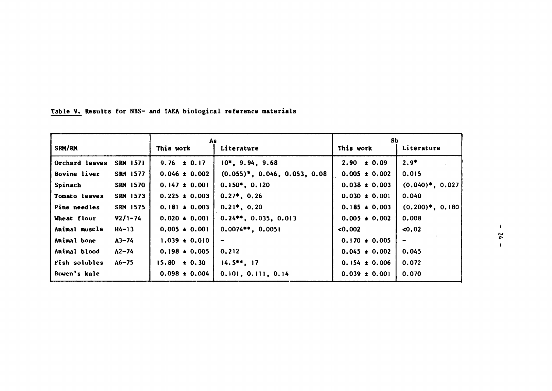|                |                 | As                |                                  | Sb.               |                     |
|----------------|-----------------|-------------------|----------------------------------|-------------------|---------------------|
| SRM/RM         |                 | This work         | Literature                       | This work         | Literature          |
| Orchard leaves | <b>SRM 1571</b> | $9.76 \pm 0.17$   | $10^*$ , 9.94, 9.68              | $2.90 \pm 0.09$   | $2.9*$              |
| Bovine liver   | SRM 1577        | $0.046 \pm 0.002$ | $(0.055)^*$ , 0.046, 0.053, 0.08 | $0.005 \pm 0.002$ | 0,015               |
| Spinach        | SRM 1570        | $0.147 \pm 0.001$ | $0.150*, 0.120$                  | $0.038 \pm 0.003$ | $(0.040)^*$ , 0.027 |
| Tomato leaves  | SRM 1573        | $0.225 \pm 0.003$ | $0.27^*$ , 0.26                  | $0.030 \pm 0.001$ | 0.040               |
| Pine needles   | SRM 1575        | $0.181 \pm 0.003$ | $0.21$ <sup>*</sup> , $0.20$     | $0.185 \pm 0.003$ | $(0.200)*$ , 0.180  |
| Wheat flour    | $V2/1 - 74$     | $0.020 \pm 0.001$ | $0.24**$ , 0.035, 0.013          | $0.005 \pm 0.002$ | 0.008               |
| Animal muscle  | H4-13           | $0.005 \pm 0.001$ | $0.0074***$ , 0.0051             | 0.002             | 0.02                |
| Animal bone    | $A3 - 74$       | $1.039 \pm 0.010$ |                                  | $0.170 \pm 0.005$ | $\blacksquare$      |
| Animal blood   | $A2 - 74$       | $0.198 \pm 0.005$ | 0, 212                           | $0.045 \pm 0.002$ | 0.045               |
| Fish solubles  | $A6 - 75$       | $15.80 \pm 0.30$  | $14.5***$ , 17                   | $0.154 \pm 0.006$ | 0.072               |
| Bowen's kale   |                 | $0.098 \pm 0.004$ | 0.101, 0.111, 0.14               | $0.039 \pm 0.001$ | 0.070               |

**Table V. Results for NBS- and IAEA biological reference materials** 

 $\mathbf{I}$  $24 -$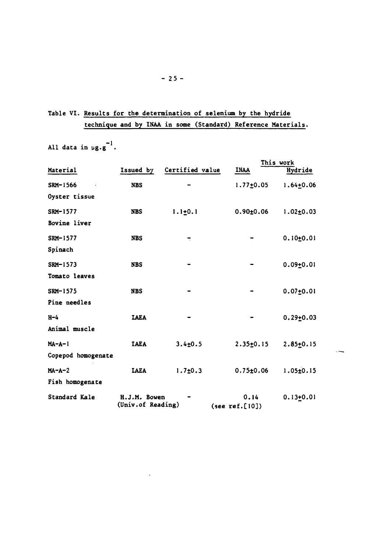# **Table VI. Results for the determination of selenium by the hydride technique and by INAA in some (Standard) Reference Materials.**

All data in  $\mu$ g.g<sup>-1</sup>.

|                    |                                   |                          |                        | This work       |
|--------------------|-----------------------------------|--------------------------|------------------------|-----------------|
| Material           | Issued by                         | Certified value          | <b>INAA</b>            | Hydride         |
| SRM-1566           | <b>NBS</b>                        |                          | $1.77 \pm 0.05$        | $1.64 + 0.06$   |
| Oyster tissue      |                                   |                          |                        |                 |
| SRM-1577           | <b>NBS</b>                        | $1.1 + 0.1$              | $0.90 \pm 0.06$        | $1.02 \pm 0.03$ |
| Bovine liver       |                                   |                          |                        |                 |
| SRM-1577           | <b>NBS</b>                        | $\overline{\phantom{a}}$ |                        | $0.10 \pm 0.01$ |
| Spinach            |                                   |                          |                        |                 |
| SRM-1573           | <b>NBS</b>                        |                          |                        | $0.09 + 0.01$   |
| Tomato leaves      |                                   |                          |                        |                 |
| SRM-1575           | <b>NBS</b>                        |                          |                        | $0.07 + 0.01$   |
| Pine needles       |                                   |                          |                        |                 |
| $H-4$              | <b>TAEA</b>                       |                          |                        | $0.29 + 0.03$   |
| Animal muscle      |                                   |                          |                        |                 |
| $MA-A-1$           | <b>TAEA</b>                       | $3.4 \pm 0.5$            | $2.35 \pm 0.15$        | $2.85 + 0.15$   |
| Copepod homogenate |                                   |                          |                        |                 |
| $MA-A-2$           | <b>IAEA</b>                       | $1.7 + 0.3$              | $0.75 \pm 0.06$        | $1.05 \pm 0.15$ |
| Fish homogenate    |                                   |                          |                        |                 |
| Standard Kale      | H.J.M. Bowen<br>(Univ.of Reading) |                          | 0.14<br>(see ref.[10]) | $0.13 + 0.01$   |

 $\ddot{\phantom{1}}$ 

 $\sim$ 

**- 25 -**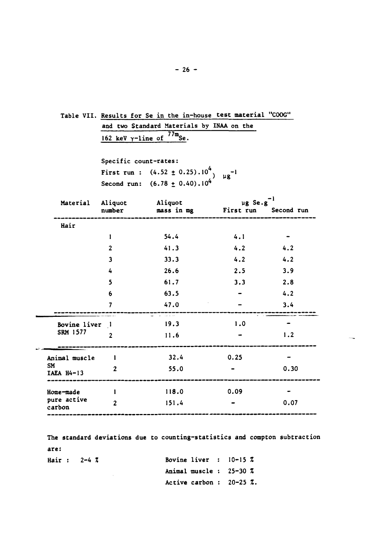|                       |                                        | Table VII. Results for Se in the in-house test material "COOG"                        |              |      |  |  |  |  |
|-----------------------|----------------------------------------|---------------------------------------------------------------------------------------|--------------|------|--|--|--|--|
|                       |                                        | and two Standard Materials by INAA on the                                             |              |      |  |  |  |  |
|                       | 162 keV $\gamma$ -line of $^{77m}$ Se. |                                                                                       |              |      |  |  |  |  |
|                       |                                        |                                                                                       |              |      |  |  |  |  |
|                       | Specific count-rates:                  |                                                                                       |              |      |  |  |  |  |
|                       |                                        | First run : $(4.52 \pm 0.25) .10^{4}$                                                 | $\mu g^{-1}$ |      |  |  |  |  |
|                       |                                        | Second run: $(6.78 \pm 0.40).10^4$                                                    |              |      |  |  |  |  |
|                       |                                        | Material Aliquot Aliquot and the second run<br>number mass in mg First run Second run |              |      |  |  |  |  |
| Hair                  |                                        |                                                                                       |              |      |  |  |  |  |
|                       | 1                                      | 54.4                                                                                  | 4.1          |      |  |  |  |  |
|                       | $\overline{2}$                         | 41.3                                                                                  | 4.2          | 4.2  |  |  |  |  |
|                       | $\mathbf{3}$                           | 33.3                                                                                  | 4.2          | 4.2  |  |  |  |  |
|                       | 4                                      | 26.6                                                                                  | 2.5          | 3.9  |  |  |  |  |
|                       | 5                                      | 61.7                                                                                  | 3.3          | 2.8  |  |  |  |  |
|                       | 6                                      | 63.5                                                                                  |              | 4.2  |  |  |  |  |
|                       | 7                                      | 47.0                                                                                  |              | 3.4  |  |  |  |  |
| Bovine liver 1        |                                        | and the company of<br>19.3                                                            | 1.0          |      |  |  |  |  |
| SRM 1577              | $\overline{2}$                         | 11.6                                                                                  |              | 1.2  |  |  |  |  |
| Animal muscle l       |                                        | 32.4                                                                                  | 0.25         |      |  |  |  |  |
| SM<br>$IAEA$ $H4-13$  | $\mathbf{2}$                           | 55.0                                                                                  |              | 0.30 |  |  |  |  |
| Home-made             | $\mathbf{1}$                           | 118.0                                                                                 | 0.09         |      |  |  |  |  |
| pure active<br>carbon | $\overline{2}$                         | 151.4                                                                                 |              | 0.07 |  |  |  |  |

 $\sim$ 

**The standard deviations due to counting-statistics and compton subtraction are:** 

| Hair: $2-4\,7$ |  |  |  | Bovine liver : $10-15\,Z$          |  |  |
|----------------|--|--|--|------------------------------------|--|--|
|                |  |  |  | Animal muscle: $25-30\,Z$          |  |  |
|                |  |  |  | Active carbon: $20-25$ $\lambda$ . |  |  |

**- 26 -**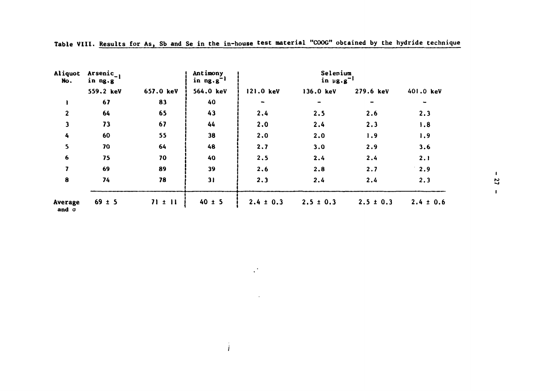| Aliquot<br>No.   | Arsenic <sub>-1</sub><br>in ng.g |             |            |               | Selenium<br>in $\mu$ g.g <sup>-1</sup> |               |               |  |
|------------------|----------------------------------|-------------|------------|---------------|----------------------------------------|---------------|---------------|--|
|                  | 559.2 keV                        | 657.0 keV   | 564.0 keV  | 121.0 keV     | 136.0 keV                              | 279.6 keV     | 401.0 keV     |  |
| $\blacksquare$   | 67                               | 83          | 40         |               |                                        |               |               |  |
| $\mathbf{2}$     | 64                               | 65          | 43         | 2,4           | 2.5                                    | 2.6           | 2.3           |  |
| $\mathbf{3}$     | 73                               | 67          | 44         | 2.0           | 2.4                                    | 2,3           | 1.8           |  |
| 4                | 60                               | 55          | 38         | 2.0           | 2,0                                    | 1.9           | 1.9           |  |
| $5\phantom{a}$   | 70                               | 64          | 48         | 2.7           | 3.0                                    | 2.9           | 3.6           |  |
| $\boldsymbol{6}$ | 75                               | 70          | 40         | 2.5           | 2,4                                    | 2.4           | 2.1           |  |
| 7                | 69                               | 89          | 39         | 2.6           | 2.8                                    | 2.7           | 2.9           |  |
| 8                | 74                               | 78          | 31         | 2.3           | 2.4                                    | 2.4           | 2,3           |  |
| Average<br>and o | $69 \pm 5$                       | $71 \pm 11$ | $40 \pm 5$ | $2.4 \pm 0.3$ | $2.5 \pm 0.3$                          | $2.5 \pm 0.3$ | $2.4 \pm 0.6$ |  |

 $\hat{\mathcal{A}}^{\text{in}}$ 

 $\sim 10^4$ 

i

**Table VIII. Results for As, Sb and Se in the in-house test material "COOG" obtained by the hydride technique** 

 $\boldsymbol{\ddot{\rm s}}$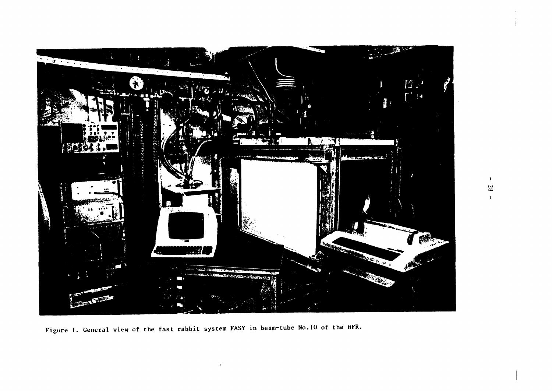

Figure 1. General view of the fast rabbit system FASY in beam-tube No.10 of the HFR.

 $\mathcal{L}$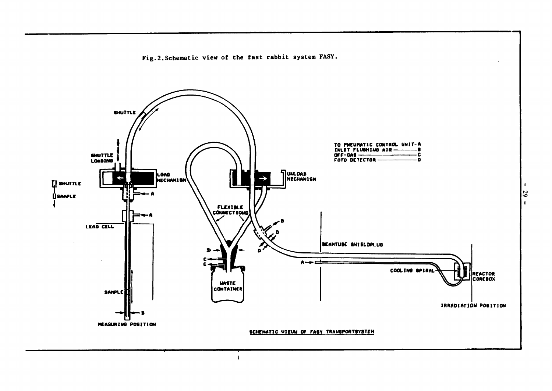Fig. 2. Schematic view of the fast rabbit system FASY.



 $\blacksquare$ 53  $\blacksquare$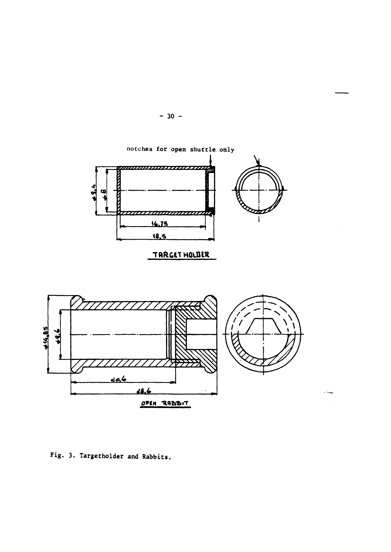

 $-30 -$ 

Fig. 3. Targetholder and Rabbits.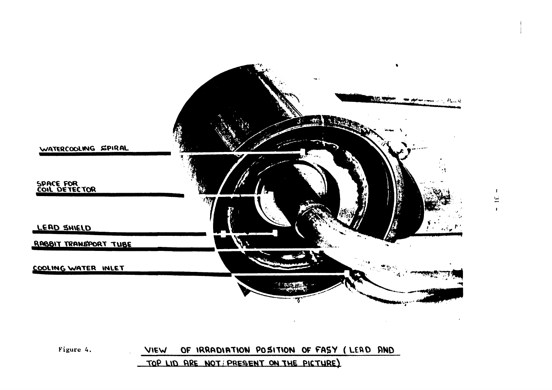



 $\mathbf{I}$  $\Xi$  $\mathbf{r}$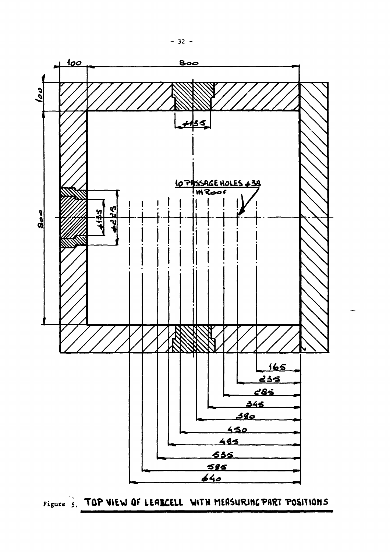

Figure 5. TOP VIEW OF LEARCELL WITH MEASURING PART POSITIONS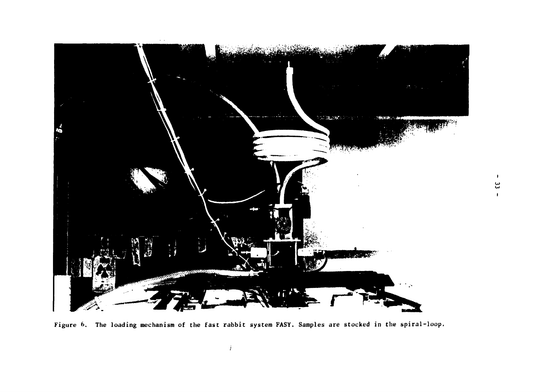

 $\mathfrak{a}$ 

 $\mathbf{r}$ 

 $\mathbf{L}$ 

**Figure 6. The loading mechanism of the fast rabbit system FASY. Samples are stocked in the spiral-loop,**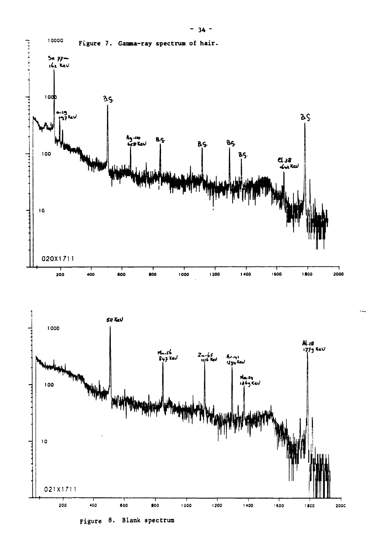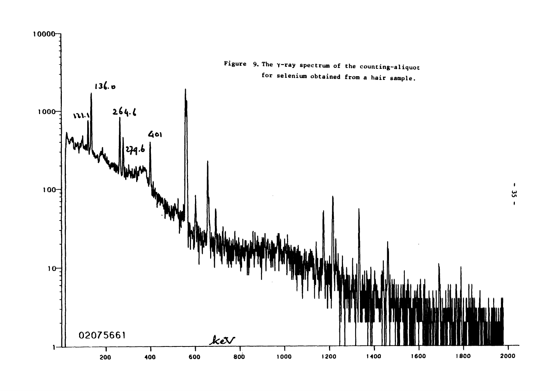